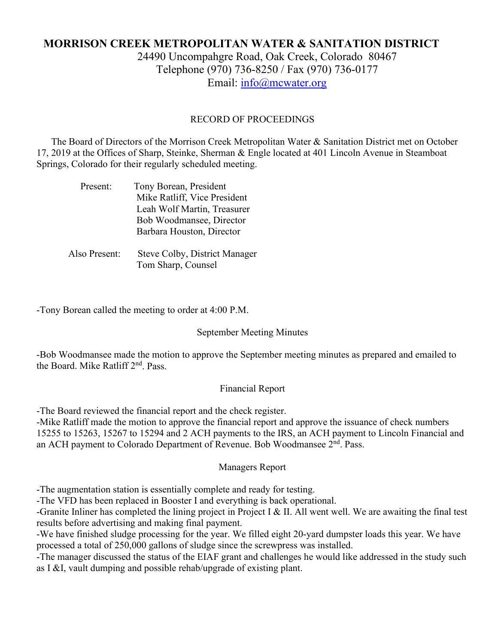## **MORRISON CREEK METROPOLITAN WATER & SANITATION DISTRICT** 24490 Uncompahgre Road, Oak Creek, Colorado 80467 Telephone (970) 736-8250 / Fax (970) 736-0177 Email: [info@mcwater.org](mailto:info@mcwater.org)

#### RECORD OF PROCEEDINGS

 The Board of Directors of the Morrison Creek Metropolitan Water & Sanitation District met on October 17, 2019 at the Offices of Sharp, Steinke, Sherman & Engle located at 401 Lincoln Avenue in Steamboat Springs, Colorado for their regularly scheduled meeting.

| Present:      | Tony Borean, President        |
|---------------|-------------------------------|
|               | Mike Ratliff, Vice President  |
|               | Leah Wolf Martin, Treasurer   |
|               | Bob Woodmansee, Director      |
|               | Barbara Houston, Director     |
|               |                               |
| Also Present: | Steve Colby, District Manager |
|               | Tom Sharp, Counsel            |

-Tony Borean called the meeting to order at 4:00 P.M.

#### September Meeting Minutes

-Bob Woodmansee made the motion to approve the September meeting minutes as prepared and emailed to the Board. Mike Ratliff 2nd. Pass.

#### Financial Report

-The Board reviewed the financial report and the check register.

-Mike Ratliff made the motion to approve the financial report and approve the issuance of check numbers 15255 to 15263, 15267 to 15294 and 2 ACH payments to the IRS, an ACH payment to Lincoln Financial and an ACH payment to Colorado Department of Revenue. Bob Woodmansee 2<sup>nd</sup>. Pass.

#### Managers Report

-The augmentation station is essentially complete and ready for testing.

-The VFD has been replaced in Booster I and everything is back operational.

-Granite Inliner has completed the lining project in Project I & II. All went well. We are awaiting the final test results before advertising and making final payment.

-We have finished sludge processing for the year. We filled eight 20-yard dumpster loads this year. We have processed a total of 250,000 gallons of sludge since the screwpress was installed.

-The manager discussed the status of the EIAF grant and challenges he would like addressed in the study such as I &I, vault dumping and possible rehab/upgrade of existing plant.